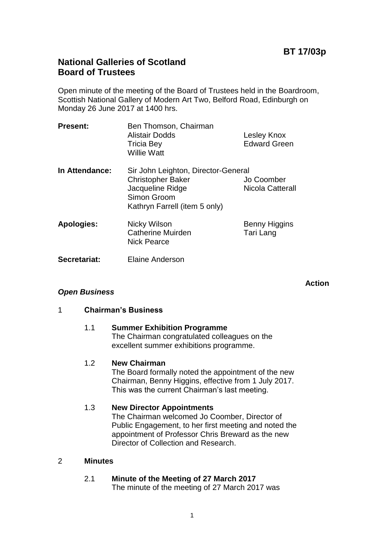## **BT 17/03p**

## **National Galleries of Scotland Board of Trustees**

Open minute of the meeting of the Board of Trustees held in the Boardroom, Scottish National Gallery of Modern Art Two, Belford Road, Edinburgh on Monday 26 June 2017 at 1400 hrs.

| <b>Present:</b>   | Ben Thomson, Chairman<br><b>Alistair Dodds</b><br><b>Tricia Bey</b><br><b>Willie Watt</b>                                           | Lesley Knox<br><b>Edward Green</b> |
|-------------------|-------------------------------------------------------------------------------------------------------------------------------------|------------------------------------|
| In Attendance:    | Sir John Leighton, Director-General<br><b>Christopher Baker</b><br>Jacqueline Ridge<br>Simon Groom<br>Kathryn Farrell (item 5 only) | Jo Coomber<br>Nicola Catterall     |
| <b>Apologies:</b> | Nicky Wilson<br>Catherine Muirden<br><b>Nick Pearce</b>                                                                             | Benny Higgins<br>Tari Lang         |
| Secretariat:      | <b>Elaine Anderson</b>                                                                                                              |                                    |

**Action**

## *Open Business*

#### 1 **Chairman's Business**

#### 1.1 **Summer Exhibition Programme**

The Chairman congratulated colleagues on the excellent summer exhibitions programme.

#### 1.2 **New Chairman**

The Board formally noted the appointment of the new Chairman, Benny Higgins, effective from 1 July 2017. This was the current Chairman's last meeting.

## 1.3 **New Director Appointments**

The Chairman welcomed Jo Coomber, Director of Public Engagement, to her first meeting and noted the appointment of Professor Chris Breward as the new Director of Collection and Research.

#### 2 **Minutes**

# 2.1 **Minute of the Meeting of 27 March 2017**

The minute of the meeting of 27 March 2017 was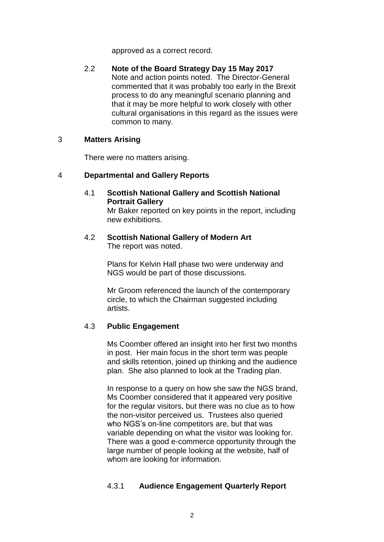approved as a correct record.

2.2 **Note of the Board Strategy Day 15 May 2017** Note and action points noted. The Director-General commented that it was probably too early in the Brexit process to do any meaningful scenario planning and that it may be more helpful to work closely with other cultural organisations in this regard as the issues were common to many.

#### 3 **Matters Arising**

There were no matters arising.

## 4 **Departmental and Gallery Reports**

4.1 **Scottish National Gallery and Scottish National Portrait Gallery**

Mr Baker reported on key points in the report, including new exhibitions.

4.2 **Scottish National Gallery of Modern Art** The report was noted.

> Plans for Kelvin Hall phase two were underway and NGS would be part of those discussions.

Mr Groom referenced the launch of the contemporary circle, to which the Chairman suggested including artists.

## 4.3 **Public Engagement**

Ms Coomber offered an insight into her first two months in post. Her main focus in the short term was people and skills retention, joined up thinking and the audience plan. She also planned to look at the Trading plan.

In response to a query on how she saw the NGS brand, Ms Coomber considered that it appeared very positive for the regular visitors, but there was no clue as to how the non-visitor perceived us. Trustees also queried who NGS's on-line competitors are, but that was variable depending on what the visitor was looking for. There was a good e-commerce opportunity through the large number of people looking at the website, half of whom are looking for information.

## 4.3.1 **Audience Engagement Quarterly Report**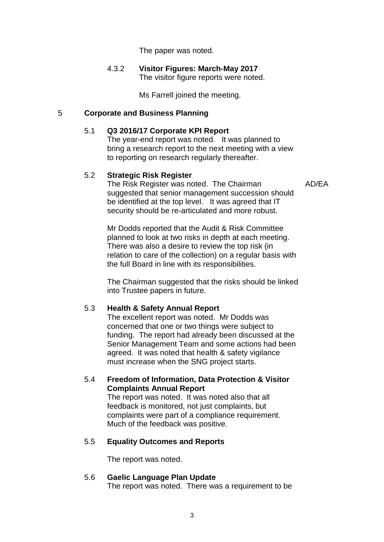The paper was noted.

#### 4.3.2 **Visitor Figures: March-May 2017** The visitor figure reports were noted.

Ms Farrell joined the meeting.

#### 5 **Corporate and Business Planning**

#### 5.1 **Q3 2016/17 Corporate KPI Report**

The year-end report was noted. It was planned to bring a research report to the next meeting with a view to reporting on research regularly thereafter.

#### 5.2 **Strategic Risk Register**

AD/EA

The Risk Register was noted. The Chairman suggested that senior management succession should be identified at the top level. It was agreed that IT security should be re-articulated and more robust.

Mr Dodds reported that the Audit & Risk Committee planned to look at two risks in depth at each meeting. There was also a desire to review the top risk (in relation to care of the collection) on a regular basis with the full Board in line with its responsibilities.

The Chairman suggested that the risks should be linked into Trustee papers in future.

#### 5.3 **Health & Safety Annual Report**

The excellent report was noted. Mr Dodds was concerned that one or two things were subject to funding. The report had already been discussed at the Senior Management Team and some actions had been agreed. It was noted that health & safety vigilance must increase when the SNG project starts.

#### 5.4 **Freedom of Information, Data Protection & Visitor Complaints Annual Report**

The report was noted. It was noted also that all feedback is monitored, not just complaints, but complaints were part of a compliance requirement. Much of the feedback was positive.

## 5.5 **Equality Outcomes and Reports**

The report was noted.

## 5.6 **Gaelic Language Plan Update**

The report was noted. There was a requirement to be